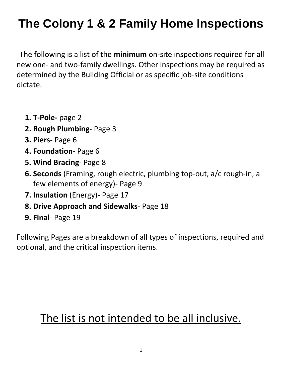The following is a list of the **minimum** on-site inspections required for all new one- and two-family dwellings. Other inspections may be required as determined by the Building Official or as specific job-site conditions dictate.

- **1. T-Pole-** page 2
- **2. Rough Plumbing** Page 3
- **3. Piers** Page 6
- **4. Foundation** Page 6
- **5. Wind Bracing** Page 8
- **6. Seconds** (Framing, rough electric, plumbing top-out, a/c rough-in, a few elements of energy)- Page 9
- **7. Insulation** (Energy)- Page 17
- **8. Drive Approach and Sidewalks** Page 18
- **9. Final** Page 19

Following Pages are a breakdown of all types of inspections, required and optional, and the critical inspection items.

### The list is not intended to be all inclusive.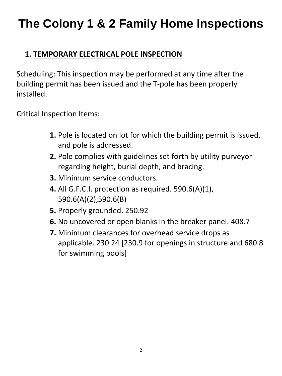### **1. TEMPORARY ELECTRICAL POLE INSPECTION**

Scheduling: This inspection may be performed at any time after the building permit has been issued and the T-pole has been properly installed.

Critical Inspection Items:

- **1.** Pole is located on lot for which the building permit is issued, and pole is addressed.
- **2.** Pole complies with guidelines set forth by utility purveyor regarding height, burial depth, and bracing.
- **3.** Minimum service conductors.
- **4.** All G.F.C.I. protection as required. 590.6(A)(1), 590.6(A)(2),590.6(B)
- **5.** Properly grounded. 250.92
- **6.** No uncovered or open blanks in the breaker panel. 408.7
- **7.** Minimum clearances for overhead service drops as applicable. 230.24 [230.9 for openings in structure and 680.8 for swimming pools]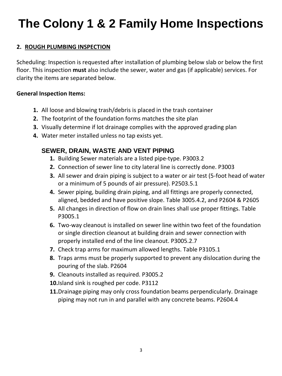#### **2. ROUGH PLUMBING INSPECTION**

Scheduling: Inspection is requested after installation of plumbing below slab or below the first floor. This inspection **must** also include the sewer, water and gas (if applicable) services. For clarity the items are separated below.

#### **General Inspection Items:**

- **1.** All loose and blowing trash/debris is placed in the trash container
- **2.** The footprint of the foundation forms matches the site plan
- **3.** Visually determine if lot drainage complies with the approved grading plan
- **4.** Water meter installed unless no tap exists yet.

#### **SEWER, DRAIN, WASTE AND VENT PIPING**

- **1.** Building Sewer materials are a listed pipe-type. P3003.2
- **2.** Connection of sewer line to city lateral line is correctly done. P3003
- **3.** All sewer and drain piping is subject to a water or air test (5-foot head of water or a minimum of 5 pounds of air pressure). P2503.5.1
- **4.** Sewer piping, building drain piping, and all fittings are properly connected, aligned, bedded and have positive slope. Table 3005.4.2, and P2604 & P2605
- **5.** All changes in direction of flow on drain lines shall use proper fittings. Table P3005.1
- **6.** Two-way cleanout is installed on sewer line within two feet of the foundation or single direction cleanout at building drain and sewer connection with properly installed end of the line cleanout. P3005.2.7
- **7.** Check trap arms for maximum allowed lengths. Table P3105.1
- **8.** Traps arms must be properly supported to prevent any dislocation during the pouring of the slab. P2604
- **9.** Cleanouts installed as required. P3005.2
- **10.**Island sink is roughed per code. P3112
- **11.**Drainage piping may only cross foundation beams perpendicularly. Drainage piping may not run in and parallel with any concrete beams. P2604.4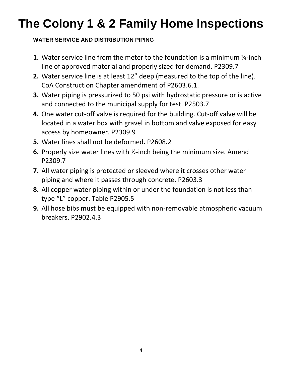#### **WATER SERVICE AND DISTRIBUTION PIPING**

- **1.** Water service line from the meter to the foundation is a minimum ¾-inch line of approved material and properly sized for demand. P2309.7
- **2.** Water service line is at least 12" deep (measured to the top of the line). CoA Construction Chapter amendment of P2603.6.1.
- **3.** Water piping is pressurized to 50 psi with hydrostatic pressure or is active and connected to the municipal supply for test. P2503.7
- **4.** One water cut-off valve is required for the building. Cut-off valve will be located in a water box with gravel in bottom and valve exposed for easy access by homeowner. P2309.9
- **5.** Water lines shall not be deformed. P2608.2
- **6.** Properly size water lines with ½-inch being the minimum size. Amend P2309.7
- **7.** All water piping is protected or sleeved where it crosses other water piping and where it passes through concrete. P2603.3
- **8.** All copper water piping within or under the foundation is not less than type "L" copper. Table P2905.5
- **9.** All hose bibs must be equipped with non-removable atmospheric vacuum breakers. P2902.4.3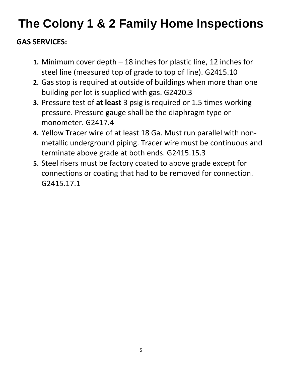### **GAS SERVICES:**

- **1.** Minimum cover depth 18 inches for plastic line, 12 inches for steel line (measured top of grade to top of line). G2415.10
- **2.** Gas stop is required at outside of buildings when more than one building per lot is supplied with gas. G2420.3
- **3.** Pressure test of **at least** 3 psig is required or 1.5 times working pressure. Pressure gauge shall be the diaphragm type or monometer. G2417.4
- **4.** Yellow Tracer wire of at least 18 Ga. Must run parallel with nonmetallic underground piping. Tracer wire must be continuous and terminate above grade at both ends. G2415.15.3
- **5.** Steel risers must be factory coated to above grade except for connections or coating that had to be removed for connection. G2415.17.1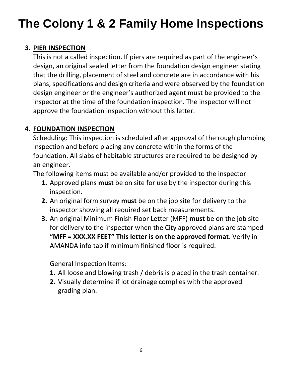#### **3. PIER INSPECTION**

This is not a called inspection. If piers are required as part of the engineer's design, an original sealed letter from the foundation design engineer stating that the drilling, placement of steel and concrete are in accordance with his plans, specifications and design criteria and were observed by the foundation design engineer or the engineer's authorized agent must be provided to the inspector at the time of the foundation inspection. The inspector will not approve the foundation inspection without this letter.

#### **4. FOUNDATION INSPECTION**

Scheduling: This inspection is scheduled after approval of the rough plumbing inspection and before placing any concrete within the forms of the foundation. All slabs of habitable structures are required to be designed by an engineer.

The following items must be available and/or provided to the inspector:

- **1.** Approved plans **must** be on site for use by the inspector during this inspection.
- **2.** An original form survey **must** be on the job site for delivery to the inspector showing all required set back measurements.
- **3.** An original Minimum Finish Floor Letter (MFF) **must** be on the job site for delivery to the inspector when the City approved plans are stamped **"MFF = XXX.XX FEET" This letter is on the approved format**. Verify in AMANDA info tab if minimum finished floor is required.

General Inspection Items:

- **1.** All loose and blowing trash / debris is placed in the trash container.
- **2.** Visually determine if lot drainage complies with the approved grading plan.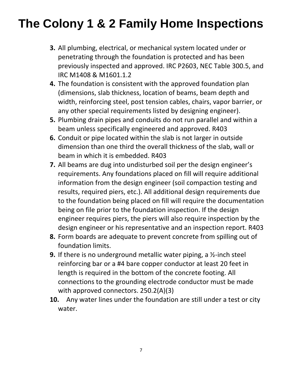- **3.** All plumbing, electrical, or mechanical system located under or penetrating through the foundation is protected and has been previously inspected and approved. IRC P2603, NEC Table 300.5, and IRC M1408 & M1601.1.2
- **4.** The foundation is consistent with the approved foundation plan (dimensions, slab thickness, location of beams, beam depth and width, reinforcing steel, post tension cables, chairs, vapor barrier, or any other special requirements listed by designing engineer).
- **5.** Plumbing drain pipes and conduits do not run parallel and within a beam unless specifically engineered and approved. R403
- **6.** Conduit or pipe located within the slab is not larger in outside dimension than one third the overall thickness of the slab, wall or beam in which it is embedded. R403
- **7.** All beams are dug into undisturbed soil per the design engineer's requirements. Any foundations placed on fill will require additional information from the design engineer (soil compaction testing and results, required piers, etc.). All additional design requirements due to the foundation being placed on fill will require the documentation being on file prior to the foundation inspection. If the design engineer requires piers, the piers will also require inspection by the design engineer or his representative and an inspection report. R403
- **8.** Form boards are adequate to prevent concrete from spilling out of foundation limits.
- **9.** If there is no underground metallic water piping, a ½-inch steel reinforcing bar or a #4 bare copper conductor at least 20 feet in length is required in the bottom of the concrete footing. All connections to the grounding electrode conductor must be made with approved connectors. 250.2(A)(3)
- **10.** Any water lines under the foundation are still under a test or city water.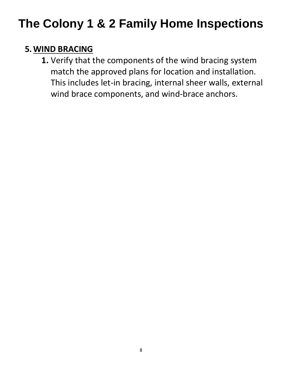### **5.WIND BRACING**

**1.** Verify that the components of the wind bracing system match the approved plans for location and installation. This includes let-in bracing, internal sheer walls, external wind brace components, and wind-brace anchors.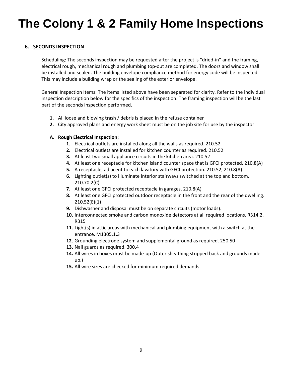#### **6. SECONDS INSPECTION**

Scheduling: The seconds inspection may be requested after the project is "dried-in" and the framing, electrical rough, mechanical rough and plumbing top-out are completed. The doors and window shall be installed and sealed. The building envelope compliance method for energy code will be inspected. This may include a building wrap or the sealing of the exterior envelope.

General Inspection Items: The items listed above have been separated for clarity. Refer to the individual inspection description below for the specifics of the inspection. The framing inspection will be the last part of the seconds inspection performed.

- **1.** All loose and blowing trash / debris is placed in the refuse container
- **2.** City approved plans and energy work sheet must be on the job site for use by the inspector

#### **A. Rough Electrical Inspection:**

- **1.** Electrical outlets are installed along all the walls as required. 210.52
- **2.** Electrical outlets are installed for kitchen counter as required. 210.52
- **3.** At least two small appliance circuits in the kitchen area. 210.52
- **4.** At least one receptacle for kitchen island counter space that is GFCI protected. 210.8(A)
- **5.** A receptacle, adjacent to each lavatory with GFCI protection. 210.52, 210.8(A)
- **6.** Lighting outlet(s) to illuminate interior stairways switched at the top and bottom. 210.70.2(C)
- **7.** At least one GFCI protected receptacle in garages. 210.8(A)
- **8.** At least one GFCI protected outdoor receptacle in the front and the rear of the dwelling. 210.52(E)(1)
- **9.** Dishwasher and disposal must be on separate circuits (motor loads).
- **10.** Interconnected smoke and carbon monoxide detectors at all required locations. R314.2, R315
- **11.** Light(s) in attic areas with mechanical and plumbing equipment with a switch at the entrance. M1305.1.3
- **12.** Grounding electrode system and supplemental ground as required. 250.50
- **13.** Nail guards as required. 300.4
- **14.** All wires in boxes must be made-up (Outer sheathing stripped back and grounds madeup.)
- **15.** All wire sizes are checked for minimum required demands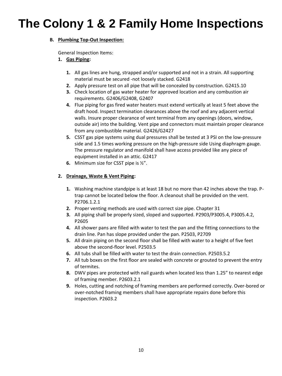#### **B. Plumbing Top-Out Inspection:**

General Inspection Items:

- **1. Gas Piping:** 
	- **1.** All gas lines are hung, strapped and/or supported and not in a strain. All supporting material must be secured -not loosely stacked. G2418
	- **2.** Apply pressure test on all pipe that will be concealed by construction. G2415.10
	- **3.** Check location of gas water heater for approved location and any combustion air requirements. G2406/G2408, G2407
	- **4.** Flue piping for gas fired water heaters must extend vertically at least 5 feet above the draft hood. Inspect termination clearances above the roof and any adjacent vertical walls. Insure proper clearance of vent terminal from any openings (doors, window, outside air) into the building. Vent pipe and connectors must maintain proper clearance from any combustible material. G2426/G2427
	- **5.** CSST gas pipe systems using dual pressures shall be tested at 3 PSI on the low-pressure side and 1.5 times working pressure on the high-pressure side Using diaphragm gauge. The pressure regulator and manifold shall have access provided like any piece of equipment installed in an attic. G2417
	- **6.** Minimum size for CSST pipe is ½".

#### **2. Drainage, Waste & Vent Piping:**

- **1.** Washing machine standpipe is at least 18 but no more than 42 inches above the trap. Ptrap cannot be located below the floor. A cleanout shall be provided on the vent. P2706.1.2.1
- **2.** Proper venting methods are used with correct size pipe. Chapter 31
- **3.** All piping shall be properly sized, sloped and supported. P2903/P3005.4, P3005.4.2, P2605
- **4.** All shower pans are filled with water to test the pan and the fitting connections to the drain line. Pan has slope provided under the pan. P2503, P2709
- **5.** All drain piping on the second floor shall be filled with water to a height of five feet above the second-floor level. P2503.5
- **6.** All tubs shall be filled with water to test the drain connection. P2503.5.2
- **7.** All tub boxes on the first floor are sealed with concrete or grouted to prevent the entry of termites.
- **8.** DWV pipes are protected with nail guards when located less than 1.25" to nearest edge of framing member. P2603.2.1
- **9.** Holes, cutting and notching of framing members are performed correctly. Over-bored or over-notched framing members shall have appropriate repairs done before this inspection. P2603.2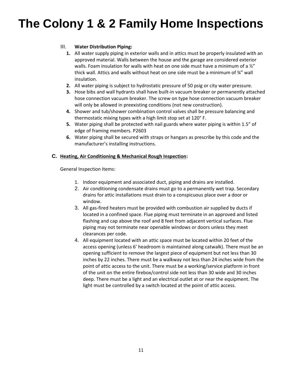#### III. **Water Distribution Piping:**

- **1.** All water supply piping in exterior walls and in attics must be properly insulated with an approved material. Walls between the house and the garage are considered exterior walls. Foam insulation for walls with heat on one side must have a minimum of a  $\frac{y''}{x}$ thick wall. Attics and walls without heat on one side must be a minimum of ¾" wall insulation.
- **2.** All water piping is subject to hydrostatic pressure of 50 psig or city water pressure.
- **3.** Hose bibs and wall hydrants shall have built-in vacuum breaker or permanently attached hose connection vacuum breaker. The screw on type hose connection vacuum breaker will only be allowed in preexisting conditions (not new construction).
- **4.** Shower and tub/shower combination control valves shall be pressure balancing and thermostatic mixing types with a high limit stop set at 120° F.
- **5.** Water piping shall be protected with nail guards where water piping is within 1.5" of edge of framing members. P2603
- **6.** Water piping shall be secured with straps or hangars as prescribe by this code and the manufacturer's installing instructions.

#### **C. Heating, Air Conditioning & Mechanical Rough Inspection:**

General Inspection Items:

- 1. Indoor equipment and associated duct, piping and drains are installed.
- 2. Air conditioning condensate drains must go to a permanently wet trap. Secondary drains for attic installations must drain to a conspicuous place over a door or window.
- 3. All gas-fired heaters must be provided with combustion air supplied by ducts if located in a confined space. Flue piping must terminate in an approved and listed flashing and cap above the roof and 8 feet from adjacent vertical surfaces. Flue piping may not terminate near openable windows or doors unless they meet clearances per code.
- 4. All equipment located with an attic space must be located within 20 feet of the access opening (unless 6' headroom is maintained along catwalk). There must be an opening sufficient to remove the largest piece of equipment but not less than 30 inches by 22 inches. There must be a walkway not less than 24 inches wide from the point of attic access to the unit. There must be a working/service platform in front of the unit on the entire firebox/control side not less than 30 wide and 30 inches deep. There must be a light and an electrical outlet at or near the equipment. The light must be controlled by a switch located at the point of attic access.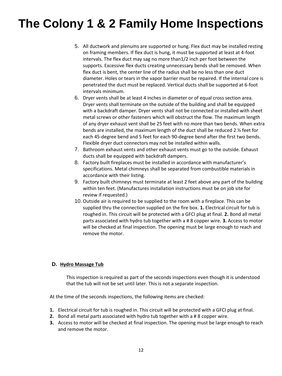- 5. All ductwork and plenums are supported or hung. Flex duct may be installed resting on framing members. If flex duct is hung, it must be supported at least at 4-foot intervals. The flex duct may sag no more than1/2 inch per foot between the supports. Excessive flex ducts creating unnecessary bends shall be removed. When flex duct is bent, the center line of the radius shall be no less than one duct diameter. Holes or tears in the vapor barrier must be repaired. If the internal core is penetrated the duct must be replaced. Vertical ducts shall be supported at 6-foot intervals minimum.
- 6. Dryer vents shall be at least 4 inches in diameter or of equal cross section area. Dryer vents shall terminate on the outside of the building and shall be equipped with a backdraft damper. Dryer vents shall not be connected or installed with sheet metal screws or other fasteners which will obstruct the flow. The maximum length of any dryer exhaust vent shall be 25 feet with no more than two bends. When extra bends are installed, the maximum length of the duct shall be reduced 2 ½ feet for each 45-degree bend and 5 feet for each 90-degree bend after the first two bends. Flexible dryer duct connectors may not be installed within walls.
- 7. Bathroom exhaust vents and other exhaust vents must go to the outside. Exhaust ducts shall be equipped with backdraft dampers.
- 8. Factory built fireplaces must be installed in accordance with manufacturer's specifications. Metal chimneys shall be separated from combustible materials in accordance with their listing.
- 9. Factory built chimneys must terminate at least 2 feet above any part of the building within ten feet. (Manufactures installation instructions must be on job site for review if requested.)
- 10. Outside air is required to be supplied to the room with a fireplace. This can be supplied thru the connection supplied on the fire box. **1.** Electrical circuit for tub is roughed in. This circuit will be protected with a GFCI plug at final. **2.** Bond all metal parts associated with hydro tub together with a # 8 copper wire. **3.** Access to motor will be checked at final inspection. The opening must be large enough to reach and remove the motor.

#### **D. Hydro Massage Tub**

This inspection is required as part of the seconds inspections even though it is understood that the tub will not be set until later. This is not a separate inspection.

At the time of the seconds inspections, the following items are checked:

- **1.** Electrical circuit for tub is roughed in. This circuit will be protected with a GFCI plug at final.
- **2.** Bond all metal parts associated with hydro tub together with a # 8 copper wire.
- **3.** Access to motor will be checked at final inspection. The opening must be large enough to reach and remove the motor.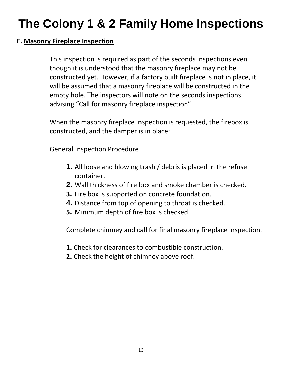#### **E. Masonry Fireplace Inspection**

This inspection is required as part of the seconds inspections even though it is understood that the masonry fireplace may not be constructed yet. However, if a factory built fireplace is not in place, it will be assumed that a masonry fireplace will be constructed in the empty hole. The inspectors will note on the seconds inspections advising "Call for masonry fireplace inspection".

When the masonry fireplace inspection is requested, the firebox is constructed, and the damper is in place:

General Inspection Procedure

- **1.** All loose and blowing trash / debris is placed in the refuse container.
- **2.** Wall thickness of fire box and smoke chamber is checked.
- **3.** Fire box is supported on concrete foundation.
- **4.** Distance from top of opening to throat is checked.
- **5.** Minimum depth of fire box is checked.

Complete chimney and call for final masonry fireplace inspection.

- **1.** Check for clearances to combustible construction.
- **2.** Check the height of chimney above roof.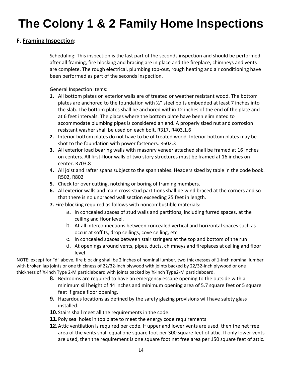#### **F. Framing Inspection:**

Scheduling: This inspection is the last part of the seconds inspection and should be performed after all framing, fire blocking and bracing are in place and the fireplace, chimneys and vents are complete. The rough electrical, plumbing top-out, rough heating and air conditioning have been performed as part of the seconds inspection.

General Inspection Items:

- **1.** All bottom plates on exterior walls are of treated or weather resistant wood. The bottom plates are anchored to the foundation with ½" steel bolts embedded at least 7 inches into the slab. The bottom plates shall be anchored within 12 inches of the end of the plate and at 6 feet intervals. The places where the bottom plate have been eliminated to accommodate plumbing pipes is considered an end. A properly sized nut and corrosion resistant washer shall be used on each bolt. R317, R403.1.6
- **2.** Interior bottom plates do not have to be of treated wood. Interior bottom plates may be shot to the foundation with power fasteners. R602.3
- **3.** All exterior load bearing walls with masonry veneer attached shall be framed at 16 inches on centers. All first-floor walls of two story structures must be framed at 16 inches on center. R703.8
- **4.** All joist and rafter spans subject to the span tables. Headers sized by table in the code book. R502, R802
- **5.** Check for over cutting, notching or boring of framing members.
- **6.** All exterior walls and main cross-stud partitions shall be wind braced at the corners and so that there is no unbraced wall section exceeding 25 feet in length.
- **7.** Fire blocking required as follows with noncombustible materials:
	- a. In concealed spaces of stud walls and partitions, including furred spaces, at the ceiling and floor level.
	- b. At all interconnections between concealed vertical and horizontal spaces such as occur at soffits, drop ceilings, cove ceiling, etc.
	- c. In concealed spaces between stair stringers at the top and bottom of the run
	- d. At openings around vents, pipes, ducts, chimneys and fireplaces at ceiling and floor level

NOTE: except for "d" above, fire blocking shall be 2 inches of nominal lumber, two thicknesses of 1-inch nominal lumber with broken lap joints or one thickness of 22/32-inch plywood with joints backed by 22/32-inch plywood or one thickness of ¾-inch Type 2-M particleboard with joints backed by ¾-inch Type2-M particleboard.

- **8.** Bedrooms are required to have an emergency escape opening to the outside with a minimum sill height of 44 inches and minimum opening area of 5.7 square feet or 5 square feet if grade floor opening.
- **9.** Hazardous locations as defined by the safety glazing provisions will have safety glass installed.
- **10.**Stairs shall meet all the requirements in the code.
- **11.**Poly seal holes in top plate to meet the energy code requirements
- **12.**Attic ventilation is required per code. If upper and lower vents are used, then the net free area of the vents shall equal one square foot per 300 square feet of attic. If only lower vents are used, then the requirement is one square foot net free area per 150 square feet of attic.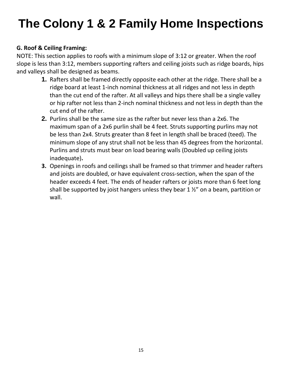#### **G. Roof & Ceiling Framing:**

NOTE: This section applies to roofs with a minimum slope of 3:12 or greater. When the roof slope is less than 3:12, members supporting rafters and ceiling joists such as ridge boards, hips and valleys shall be designed as beams.

- **1.** Rafters shall be framed directly opposite each other at the ridge. There shall be a ridge board at least 1-inch nominal thickness at all ridges and not less in depth than the cut end of the rafter. At all valleys and hips there shall be a single valley or hip rafter not less than 2-inch nominal thickness and not less in depth than the cut end of the rafter.
- **2.** Purlins shall be the same size as the rafter but never less than a 2x6. The maximum span of a 2x6 purlin shall be 4 feet. Struts supporting purlins may not be less than 2x4. Struts greater than 8 feet in length shall be braced (teed). The minimum slope of any strut shall not be less than 45 degrees from the horizontal. Purlins and struts must bear on load bearing walls (Doubled up ceiling joists inadequate)**.**
- **3.** Openings in roofs and ceilings shall be framed so that trimmer and header rafters and joists are doubled, or have equivalent cross-section, when the span of the header exceeds 4 feet. The ends of header rafters or joists more than 6 feet long shall be supported by joist hangers unless they bear  $1\frac{1}{2}$  on a beam, partition or wall.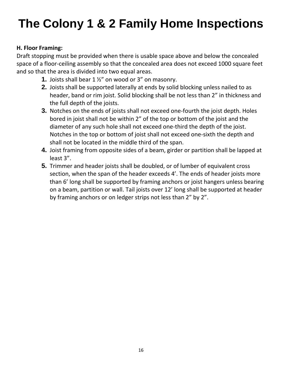#### **H. Floor Framing:**

Draft stopping must be provided when there is usable space above and below the concealed space of a floor-ceiling assembly so that the concealed area does not exceed 1000 square feet and so that the area is divided into two equal areas.

- **1.** Joists shall bear 1 ½" on wood or 3" on masonry.
- **2.** Joists shall be supported laterally at ends by solid blocking unless nailed to as header, band or rim joist. Solid blocking shall be not less than 2" in thickness and the full depth of the joists.
- **3.** Notches on the ends of joists shall not exceed one-fourth the joist depth. Holes bored in joist shall not be within 2" of the top or bottom of the joist and the diameter of any such hole shall not exceed one-third the depth of the joist. Notches in the top or bottom of joist shall not exceed one-sixth the depth and shall not be located in the middle third of the span.
- **4.** Joist framing from opposite sides of a beam, girder or partition shall be lapped at least 3".
- **5.** Trimmer and header joists shall be doubled, or of lumber of equivalent cross section, when the span of the header exceeds 4'. The ends of header joists more than 6' long shall be supported by framing anchors or joist hangers unless bearing on a beam, partition or wall. Tail joists over 12' long shall be supported at header by framing anchors or on ledger strips not less than 2" by 2".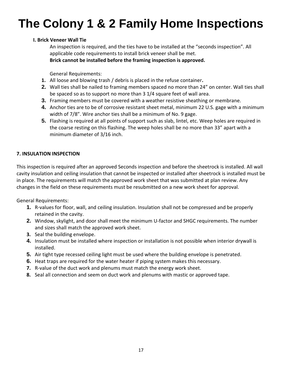#### **I. Brick Veneer Wall Tie**

An inspection is required, and the ties have to be installed at the "seconds inspection". All applicable code requirements to install brick veneer shall be met.

**Brick cannot be installed before the framing inspection is approved.** 

General Requirements:

- **1.** All loose and blowing trash / debris is placed in the refuse container**.**
- **2.** Wall ties shall be nailed to framing members spaced no more than 24" on center. Wall ties shall be spaced so as to support no more than 3 1/4 square feet of wall area.
- **3.** Framing members must be covered with a weather resistive sheathing or membrane.
- **4.** Anchor ties are to be of corrosive resistant sheet metal, minimum 22 U.S. gage with a minimum width of 7/8". Wire anchor ties shall be a minimum of No. 9 gage.
- **5.** Flashing is required at all points of support such as slab, lintel, etc. Weep holes are required in the coarse resting on this flashing. The weep holes shall be no more than 33" apart with a minimum diameter of 3/16 inch.

#### **7. INSULATION INSPECTION**

This inspection is required after an approved Seconds inspection and before the sheetrock is installed. All wall cavity insulation and ceiling insulation that cannot be inspected or installed after sheetrock is installed must be in place. The requirements will match the approved work sheet that was submitted at plan review. Any changes in the field on these requirements must be resubmitted on a new work sheet for approval.

General Requirements:

- **1.** R-values for floor, wall, and ceiling insulation. Insulation shall not be compressed and be properly retained in the cavity.
- **2.** Window, skylight, and door shall meet the minimum U-factor and SHGC requirements. The number and sizes shall match the approved work sheet.
- **3.** Seal the building envelope.
- **4.** Insulation must be installed where inspection or installation is not possible when interior drywall is installed.
- **5.** Air tight type recessed ceiling light must be used where the building envelope is penetrated.
- **6.** Heat traps are required for the water heater if piping system makes this necessary.
- **7.** R-value of the duct work and plenums must match the energy work sheet.
- **8.** Seal all connection and seem on duct work and plenums with mastic or approved tape.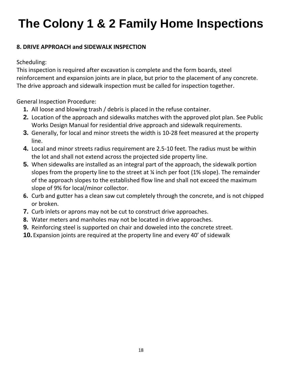#### **8. DRIVE APPROACH and SIDEWALK INSPECTION**

Scheduling:

This inspection is required after excavation is complete and the form boards, steel reinforcement and expansion joints are in place, but prior to the placement of any concrete. The drive approach and sidewalk inspection must be called for inspection together.

General Inspection Procedure:

- **1.** All loose and blowing trash / debris is placed in the refuse container.
- **2.** Location of the approach and sidewalks matches with the approved plot plan. See Public Works Design Manual for residential drive approach and sidewalk requirements.
- **3.** Generally, for local and minor streets the width is 10-28 feet measured at the property line.
- **4.** Local and minor streets radius requirement are 2.5-10 feet. The radius must be within the lot and shall not extend across the projected side property line.
- **5.** When sidewalks are installed as an integral part of the approach, the sidewalk portion slopes from the property line to the street at ¼ inch per foot (1% slope). The remainder of the approach slopes to the established flow line and shall not exceed the maximum slope of 9% for local/minor collector.
- **6.** Curb and gutter has a clean saw cut completely through the concrete, and is not chipped or broken.
- **7.** Curb inlets or aprons may not be cut to construct drive approaches.
- **8.** Water meters and manholes may not be located in drive approaches.
- **9.** Reinforcing steel is supported on chair and doweled into the concrete street.
- **10.** Expansion joints are required at the property line and every 40' of sidewalk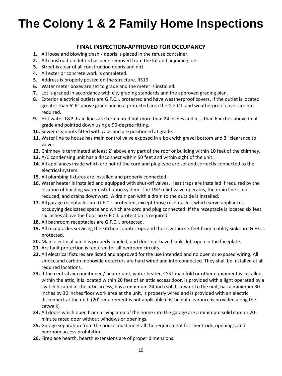#### **FINAL INSPECTION-APPROVED FOR OCCUPANCY**

- **1.** All loose and blowing trash / debris is placed in the refuse container.
- **2.** All construction debris has been removed from the lot and adjoining lots.
- **3.** Street is clear of all construction debris and dirt.
- **4.** All exterior concrete work is completed.
- **5.** Address is properly posted on the structure. R319
- **6.** Water meter boxes are set to grade and the meter is installed.
- **7.** Lot is graded in accordance with city grading standards and the approved grading plan.
- **8.** Exterior electrical outlets are G.F.C.I. protected and have weatherproof covers. If the outlet is located greater than 6' 6" above grade and in a protected area the G.F.C.I. and weatherproof cover are not required.
- **9.** Hot water T&P drain lines are terminated not more than 24 inches and less than 6 inches above final grade and pointed down using a 90-degree fitting.
- **10.** Sewer cleanouts fitted with caps and are positioned at grade.
- **11.** Water line to house has main control valve exposed in a box with gravel bottom and 3" clearance to valve.
- **12.** Chimney is terminated at least 2' above any part of the roof or building within 10 feet of the chimney.
- **13.** A/C condensing unit has a disconnect within 50 feet and within sight of the unit.
- **14.** All appliances inside which are not of the cord and plug type are set and correctly connected to the electrical system.
- **15.** All plumbing fixtures are installed and properly connected.
- **16.** Water heater is installed and equipped with shut-off valves. Heat traps are installed if required by the location of building water distribution system. The T&P relief valve operates, the drain line is not reduced, and drains downward. A drain pan with a drain to the outside is installed.
- **17.** All garage receptacles are G.F.C.I. protected, except those receptacles, which serve appliances occupying dedicated space and which are cord and plug connected. If the receptacle is located six feet six inches above the floor no G.F.C.I. protection is required.
- **18.** All bathroom receptacles are G.F.C.I. protected.
- **19.** All receptacles servicing the kitchen countertops and those within six feet from a utility sinks are G.F.C.I. protected.
- **20.** Main electrical panel is properly labeled, and does not have blanks left open in the faceplate.
- **21.** Arc fault protection is required for all bedroom circuits.
- **22.** All electrical fixtures are listed and approved for the use intended and no open or exposed wiring. All smoke and carbon monoxide detectors are hard wired and interconnected. They shall be installed at all required locations.
- **23.** If the central air conditioner / heater unit, water heater, CSST manifold or other equipment is installed within the attic, it is located within 20 feet of an attic access door, is provided with a light operated by a switch located at the attic access, has a minimum 24-inch solid catwalk to the unit, has a minimum 30 inches by 30 inches floor work area at the unit, is properly wired and is provided with an electric disconnect at the unit. (20' requirement is not applicable if 6' height clearance is provided along the catwalk)
- **24.** All doors which open from a living area of the home into the garage are a minimum solid core or 20 minute rated door without windows or openings.
- **25.** Garage separation from the house must meet all the requirement for sheetrock, openings, and bedroom access prohibition.
- **26.** Fireplace hearth, hearth extensions are of proper dimensions.